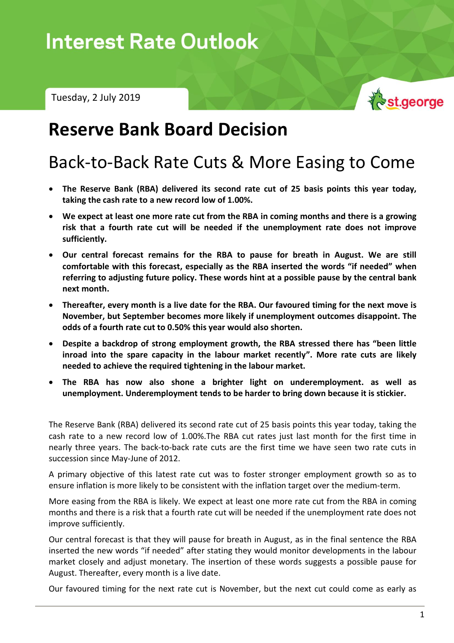Tuesday, 2 July 2019



## **Reserve Bank Board Decision**

# Back-to-Back Rate Cuts & More Easing to Come

- **The Reserve Bank (RBA) delivered its second rate cut of 25 basis points this year today, taking the cash rate to a new record low of 1.00%.**
- **We expect at least one more rate cut from the RBA in coming months and there is a growing risk that a fourth rate cut will be needed if the unemployment rate does not improve sufficiently.**
- **Our central forecast remains for the RBA to pause for breath in August. We are still comfortable with this forecast, especially as the RBA inserted the words "if needed" when referring to adjusting future policy. These words hint at a possible pause by the central bank next month.**
- **Thereafter, every month is a live date for the RBA. Our favoured timing for the next move is November, but September becomes more likely if unemployment outcomes disappoint. The odds of a fourth rate cut to 0.50% this year would also shorten.**
- **Despite a backdrop of strong employment growth, the RBA stressed there has "been little inroad into the spare capacity in the labour market recently". More rate cuts are likely needed to achieve the required tightening in the labour market.**
- **The RBA has now also shone a brighter light on underemployment. as well as unemployment. Underemployment tends to be harder to bring down because it is stickier.**

The Reserve Bank (RBA) delivered its second rate cut of 25 basis points this year today, taking the cash rate to a new record low of 1.00%.The RBA cut rates just last month for the first time in nearly three years. The back-to-back rate cuts are the first time we have seen two rate cuts in succession since May-June of 2012.

A primary objective of this latest rate cut was to foster stronger employment growth so as to ensure inflation is more likely to be consistent with the inflation target over the medium-term.

More easing from the RBA is likely. We expect at least one more rate cut from the RBA in coming months and there is a risk that a fourth rate cut will be needed if the unemployment rate does not improve sufficiently.

Our central forecast is that they will pause for breath in August, as in the final sentence the RBA inserted the new words "if needed" after stating they would monitor developments in the labour market closely and adjust monetary. The insertion of these words suggests a possible pause for August. Thereafter, every month is a live date.

Our favoured timing for the next rate cut is November, but the next cut could come as early as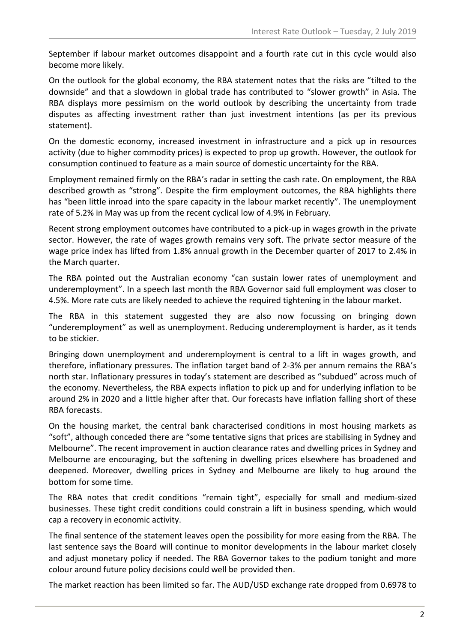September if labour market outcomes disappoint and a fourth rate cut in this cycle would also become more likely.

On the outlook for the global economy, the RBA statement notes that the risks are "tilted to the downside" and that a slowdown in global trade has contributed to "slower growth" in Asia. The RBA displays more pessimism on the world outlook by describing the uncertainty from trade disputes as affecting investment rather than just investment intentions (as per its previous statement).

On the domestic economy, increased investment in infrastructure and a pick up in resources activity (due to higher commodity prices) is expected to prop up growth. However, the outlook for consumption continued to feature as a main source of domestic uncertainty for the RBA.

Employment remained firmly on the RBA's radar in setting the cash rate. On employment, the RBA described growth as "strong". Despite the firm employment outcomes, the RBA highlights there has "been little inroad into the spare capacity in the labour market recently". The unemployment rate of 5.2% in May was up from the recent cyclical low of 4.9% in February.

Recent strong employment outcomes have contributed to a pick-up in wages growth in the private sector. However, the rate of wages growth remains very soft. The private sector measure of the wage price index has lifted from 1.8% annual growth in the December quarter of 2017 to 2.4% in the March quarter.

The RBA pointed out the Australian economy "can sustain lower rates of unemployment and underemployment". In a speech last month the RBA Governor said full employment was closer to 4.5%. More rate cuts are likely needed to achieve the required tightening in the labour market.

The RBA in this statement suggested they are also now focussing on bringing down "underemployment" as well as unemployment. Reducing underemployment is harder, as it tends to be stickier.

Bringing down unemployment and underemployment is central to a lift in wages growth, and therefore, inflationary pressures. The inflation target band of 2-3% per annum remains the RBA's north star. Inflationary pressures in today's statement are described as "subdued" across much of the economy. Nevertheless, the RBA expects inflation to pick up and for underlying inflation to be around 2% in 2020 and a little higher after that. Our forecasts have inflation falling short of these RBA forecasts.

On the housing market, the central bank characterised conditions in most housing markets as "soft", although conceded there are "some tentative signs that prices are stabilising in Sydney and Melbourne". The recent improvement in auction clearance rates and dwelling prices in Sydney and Melbourne are encouraging, but the softening in dwelling prices elsewhere has broadened and deepened. Moreover, dwelling prices in Sydney and Melbourne are likely to hug around the bottom for some time.

The RBA notes that credit conditions "remain tight", especially for small and medium-sized businesses. These tight credit conditions could constrain a lift in business spending, which would cap a recovery in economic activity.

The final sentence of the statement leaves open the possibility for more easing from the RBA. The last sentence says the Board will continue to monitor developments in the labour market closely and adjust monetary policy if needed. The RBA Governor takes to the podium tonight and more colour around future policy decisions could well be provided then.

The market reaction has been limited so far. The AUD/USD exchange rate dropped from 0.6978 to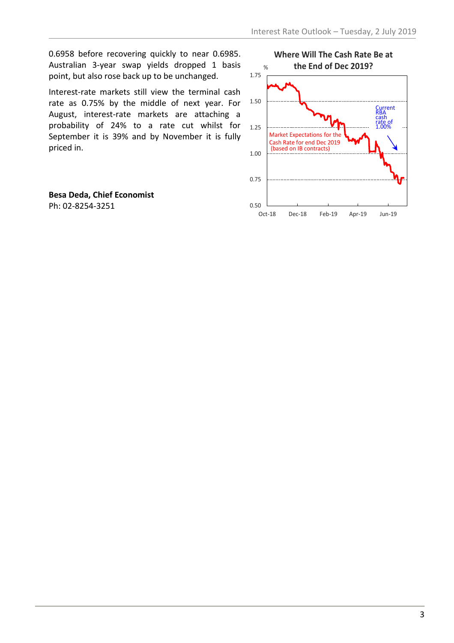0.6958 before recovering quickly to near 0.6985. Australian 3-year swap yields dropped 1 basis point, but also rose back up to be unchanged.

Interest-rate markets still view the terminal cash rate as 0.75% by the middle of next year. For August, interest-rate markets are attaching a probability of 24% to a rate cut whilst for September it is 39% and by November it is fully priced in.

**Besa Deda, Chief Economist** Ph: 02-8254-3251 0.50